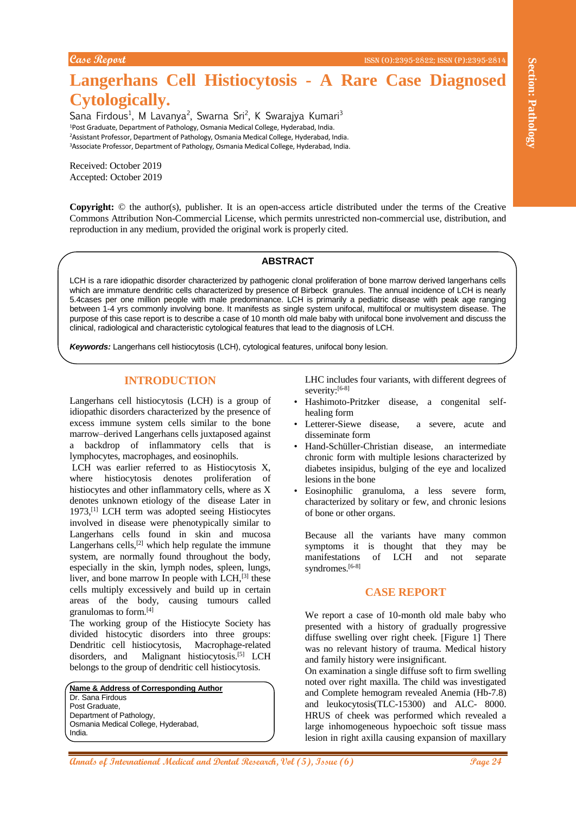# **Langerhans Cell Histiocytosis - A Rare Case Diagnosed Cytologically.**

Sana Firdous<sup>1</sup>, M Lavanya<sup>2</sup>, Swarna Sri<sup>2</sup>, K Swarajya Kumari<sup>3</sup> <sup>1</sup>Post Graduate, Department of Pathology, Osmania Medical College, Hyderabad, India. <sup>2</sup>Assistant Professor, Department of Pathology, Osmania Medical College, Hyderabad, India. <sup>3</sup>Associate Professor, Department of Pathology, Osmania Medical College, Hyderabad, India.

Received: October 2019 Accepted: October 2019

**Copyright:** © the author(s), publisher. It is an open-access article distributed under the terms of the Creative Commons Attribution Non-Commercial License, which permits unrestricted non-commercial use, distribution, and reproduction in any medium, provided the original work is properly cited.

## **ABSTRACT**

LCH is a rare idiopathic disorder characterized by pathogenic clonal proliferation of bone marrow derived langerhans cells which are immature dendritic cells characterized by presence of Birbeck granules. The annual incidence of LCH is nearly 5.4cases per one million people with male predominance. LCH is primarily a pediatric disease with peak age ranging between 1-4 yrs commonly involving bone. It manifests as single system unifocal, multifocal or multisystem disease. The purpose of this case report is to describe a case of 10 month old male baby with unifocal bone involvement and discuss the clinical, radiological and characteristic cytological features that lead to the diagnosis of LCH.

*Keywords:* Langerhans cell histiocytosis (LCH), cytological features, unifocal bony lesion.

### **INTRODUCTION**

Langerhans cell histiocytosis (LCH) is a group of idiopathic disorders characterized by the presence of excess immune system cells similar to the bone marrow–derived Langerhans cells juxtaposed against a backdrop of inflammatory cells that is lymphocytes, macrophages, and eosinophils.

**ARE Section Collisions of International Medical and Dental And Section 2018**<br> **Cyrologically,**<br>
Cyrological By the energy of the energy of the energy of the energy of the energy of the energy of the energy of the energy o LCH was earlier referred to as Histiocytosis X, where histiocytosis denotes proliferation of histiocytes and other inflammatory cells, where as X denotes unknown etiology of the disease Later in 1973,[1] LCH term was adopted seeing Histiocytes involved in disease were phenotypically similar to Langerhans cells found in skin and mucosa Langerhans cells, $[2]$  which help regulate the immune system, are normally found throughout the body, especially in the skin, lymph nodes, spleen, lungs, liver, and bone marrow In people with  $LCH$ <sup>[3]</sup> these cells multiply excessively and build up in certain areas of the body, causing tumours called granulomas to form.[4]

The working group of the Histiocyte Society has divided histocytic disorders into three groups: Dendritic cell histiocytosis, Macrophage-related disorders, and Malignant histiocytosis.<sup>[5]</sup> LCH belongs to the group of dendritic cell histiocytosis.

**Name & Address of Corresponding Author** Dr. Sana Firdous Post Graduate, Department of Pathology, Osmania Medical College, Hyderabad, India.

LHC includes four variants, with different degrees of severity:<sup>[6-8]</sup>

- Hashimoto-Pritzker disease, a congenital selfhealing form
- Letterer-Siewe disease, a severe, acute and disseminate form
- Hand-Schüller-Christian disease, an intermediate chronic form with multiple lesions characterized by diabetes insipidus, bulging of the eye and localized lesions in the bone
- Eosinophilic granuloma, a less severe form, characterized by solitary or few, and chronic lesions of bone or other organs.

Because all the variants have many common symptoms it is thought that they may be manifestations of LCH and not separate syndromes.<sup>[6-8]</sup>

# **CASE REPORT**

We report a case of 10-month old male baby who presented with a history of gradually progressive diffuse swelling over right cheek. [Figure 1] There was no relevant history of trauma. Medical history and family history were insignificant.

On examination a single diffuse soft to firm swelling noted over right maxilla. The child was investigated and Complete hemogram revealed Anemia (Hb-7.8) and leukocytosis(TLC-15300) and ALC- 8000. HRUS of cheek was performed which revealed a large inhomogeneous hypoechoic soft tissue mass lesion in right axilla causing expansion of maxillary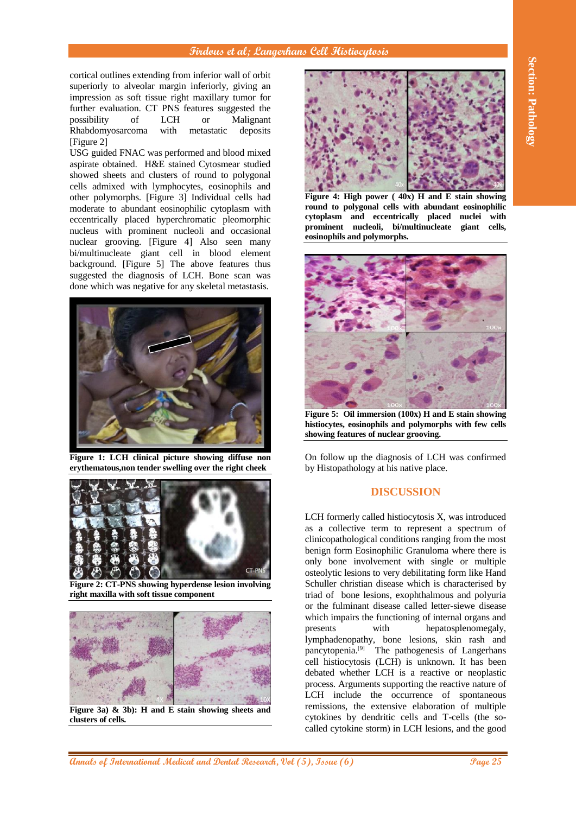### **Firdous et al; Langerhans Cell Histiocytosis**

cortical outlines extending from inferior wall of orbit superiorly to alveolar margin inferiorly, giving an impression as soft tissue right maxillary tumor for further evaluation. CT PNS features suggested the possibility of LCH or Malignant Rhabdomyosarcoma with metastatic deposits [Figure 2]

USG guided FNAC was performed and blood mixed aspirate obtained. H&E stained Cytosmear studied showed sheets and clusters of round to polygonal cells admixed with lymphocytes, eosinophils and other polymorphs. [Figure 3] Individual cells had moderate to abundant eosinophilic cytoplasm with eccentrically placed hyperchromatic pleomorphic nucleus with prominent nucleoli and occasional nuclear grooving. [Figure 4] Also seen many bi/multinucleate giant cell in blood element background. [Figure 5] The above features thus suggested the diagnosis of LCH. Bone scan was done which was negative for any skeletal metastasis.



**Figure 1: LCH clinical picture showing diffuse non erythematous,non tender swelling over the right cheek**



**Figure 2: CT-PNS showing hyperdense lesion involving right maxilla with soft tissue component**



**Figure 3a) & 3b): H and E stain showing sheets and clusters of cells.**



**Figure 4: High power ( 40x) H and E stain showing round to polygonal cells with abundant eosinophilic cytoplasm and eccentrically placed nuclei with prominent nucleoli, bi/multinucleate giant cells, eosinophils and polymorphs.**



**Figure 5: Oil immersion (100x) H and E stain showing histiocytes, eosinophils and polymorphs with few cells showing features of nuclear grooving.**

On follow up the diagnosis of LCH was confirmed by Histopathology at his native place.

# **DISCUSSION**

 $\frac{A}{\sqrt{2}}$ <br>  $\frac{A}{\sqrt{2}}$ <br>  $\frac{A}{\sqrt{2}}$ <br>  $\frac{A}{\sqrt{2}}$ <br>  $\frac{A}{\sqrt{2}}$ <br>  $\frac{A}{\sqrt{2}}$ <br>  $\frac{A}{\sqrt{2}}$ <br>  $\frac{A}{\sqrt{2}}$ <br>  $\frac{A}{\sqrt{2}}$ <br>  $\frac{A}{\sqrt{2}}$ <br>  $\frac{A}{\sqrt{2}}$ <br>  $\frac{A}{\sqrt{2}}$ <br>  $\frac{A}{\sqrt{2}}$ <br>  $\frac{A}{\sqrt{2}}$ <br>  $\frac{A}{\sqrt{2}}$ <br>  $\frac{A}{\sqrt{2}}$ LCH formerly called histiocytosis X, was introduced as a collective term to represent a spectrum of clinicopathological conditions ranging from the most benign form Eosinophilic Granuloma where there is only bone involvement with single or multiple osteolytic lesions to very debilitating form like Hand Schuller christian disease which is characterised by triad of bone lesions, exophthalmous and polyuria or the fulminant disease called letter-siewe disease which impairs the functioning of internal organs and presents with hepatosplenomegaly, lymphadenopathy, bone lesions, skin rash and pancytopenia.<sup>[9]</sup> The pathogenesis of Langerhans cell histiocytosis (LCH) is unknown. It has been debated whether LCH is a reactive or neoplastic process. Arguments supporting the reactive nature of LCH include the occurrence of spontaneous remissions, the extensive elaboration of multiple cytokines by dendritic cells and T-cells (the socalled cytokine storm) in LCH lesions, and the good